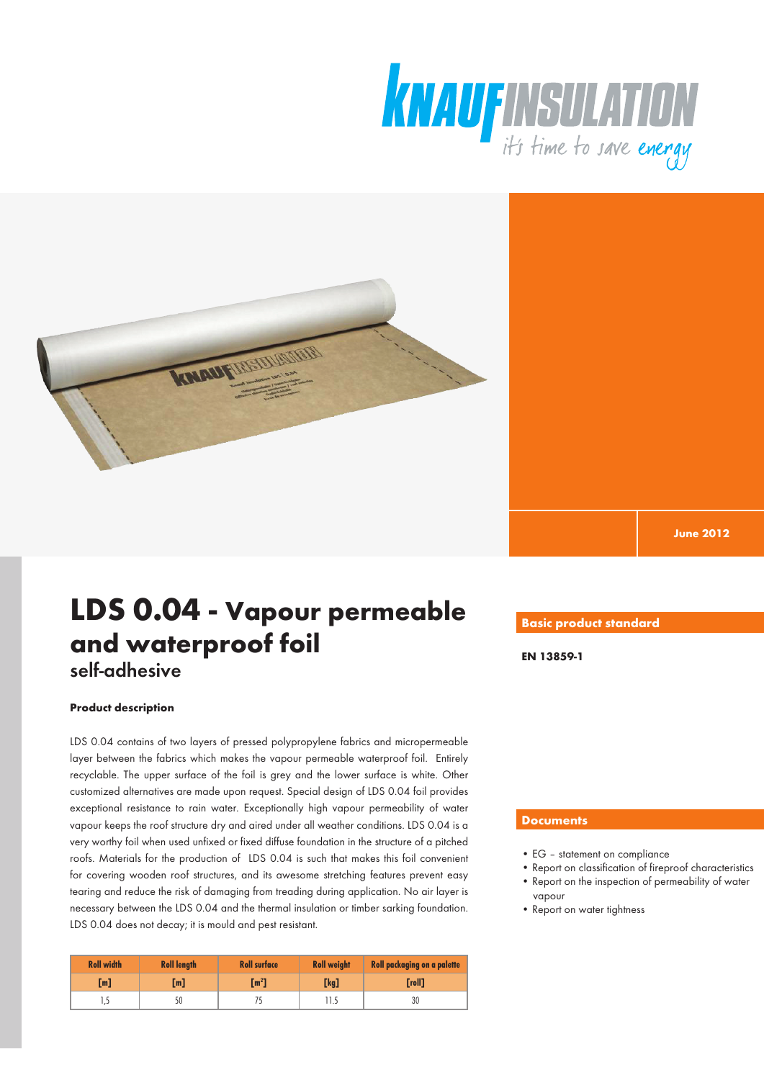



**June 2012**

# **LDS 0.04 - Vapour permeable and waterproof foil** self-adhesive

### **Product description**

LDS 0.04 contains of two layers of pressed polypropylene fabrics and micropermeable layer between the fabrics which makes the vapour permeable waterproof foil. Entirely recyclable. The upper surface of the foil is grey and the lower surface is white. Other customized alternatives are made upon request. Special design of LDS 0.04 foil provides exceptional resistance to rain water. Exceptionally high vapour permeability of water vapour keeps the roof structure dry and aired under all weather conditions. LDS 0.04 is a very worthy foil when used unfixed or fixed diffuse foundation in the structure of a pitched roofs. Materials for the production of LDS 0.04 is such that makes this foil convenient for covering wooden roof structures, and its awesome stretching features prevent easy tearing and reduce the risk of damaging from treading during application. No air layer is necessary between the LDS 0.04 and the thermal insulation or timber sarking foundation. LDS 0.04 does not decay; it is mould and pest resistant.

| <b>Roll width</b> | <b>Roll length</b> | <b>Roll surface</b> | <b>Roll weight</b> | <b>Roll packaging on a palette</b> |
|-------------------|--------------------|---------------------|--------------------|------------------------------------|
| [m]               | [m]                | $\mathbf{m}^2$      | [kg]               | [roll]                             |
| 1,5               | 50                 |                     |                    | 30                                 |

### **Basic product standard**

**EN 13859-1**

### **Documents**

- EG statement on compliance
- Report on classification of fireproof characteristics • Report on the inspection of permeability of water vapour
- Report on water tightness